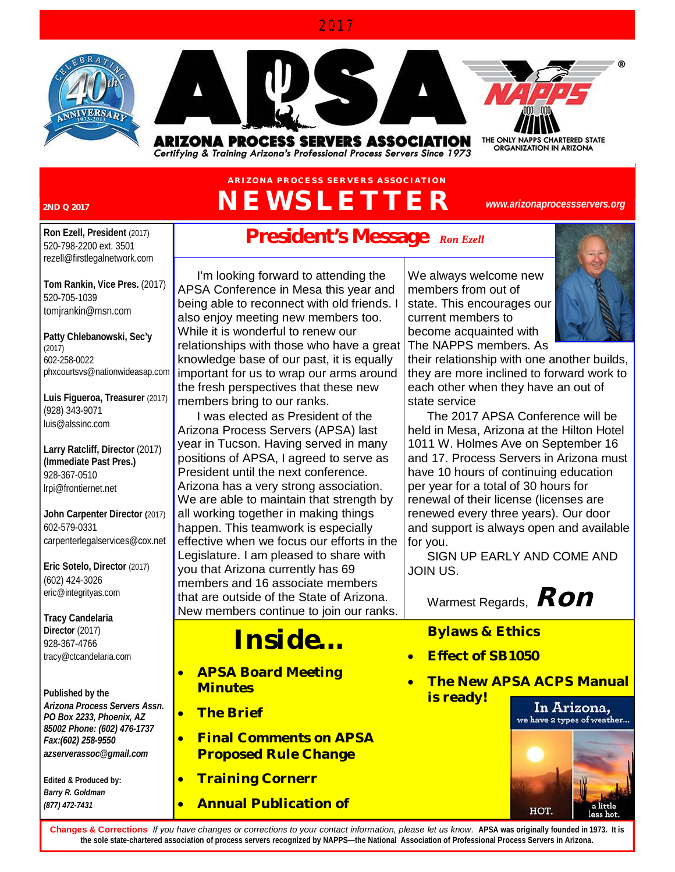#### 2017





ARIZONA PROCESS SERVERS ASSOCIATION Certifying & Training Arizona's Professional Process Servers Since 1973 THE ONLY NAPPS CHARTERED STATE<br>ORGANIZATION IN ARIZONA

## **ARIZONA PR OCESS SER VER S ASSOCIATION 2ND Q 2017** *NEWSLETTER*

*[www.arizonaprocessservers.org](http://www.arizonaprocessservers.org)*

**Ron Ezell, President** (2017) 520-798-2200 ext. 3501 [rezell@firstlegalnetwork.com](mailto:rezell@firstlegalnetwork.com)

**Tom Rankin, Vice Pres.** (2017) 520-705-1039 [tomjrankin@msn.com](mailto:tomjrankin@msn.com)

**Patty Chlebanowski, Sec'y** (2017) 602-258-0022 [phxcourtsvs@nationwideasap.com](mailto:phxcourtsvs@nationwideasap.com)

**Luis Figueroa, Treasurer** (2017) (928) 343-9071 [luis@alssinc.com](mailto:luis@alssinc.com)

**Larry Ratcliff, Director** (2017) **(Immediate Past Pres.)**  928-367-0510 [lrpi@frontiernet.net](mailto:lrpi@frontiernet.net) 

**John Carpenter Director (**2017) 602-579-0331 [carpenterlegalservices@cox.net](mailto:carpenterlegalservices@cox.net)

**Eric Sotelo, Director** (2017) (602) 424-3026 [eric@integrityas.com](mailto:eric@integrityas.com) 

**Tracy Candelaria Director** (2017) 928-367-4766 [tracy@ctcandelaria.com](mailto:tracy@ctcandelaria.com)

**Published by the** *Arizona Process Servers Assn. PO Box 2233, Phoenix, AZ 85002 Phone: (602) 476-1737 Fax:(602) 258-9550 [azserverassoc@gmail.com](mailto:azserverassoc@gmail.com)*

**Edited & Produced by:** *Barry R. Goldman (877) 472-7431*

# **President's Message** *Ron Ezell*

I'm looking forward to attending the APSA Conference in Mesa this year and being able to reconnect with old friends. I also enjoy meeting new members too. While it is wonderful to renew our relationships with those who have a great knowledge base of our past, it is equally important for us to wrap our arms around the fresh perspectives that these new members bring to our ranks.

I was elected as President of the Arizona Process Servers (APSA) last year in Tucson. Having served in many positions of APSA, I agreed to serve as President until the next conference. Arizona has a very strong association. We are able to maintain that strength by all working together in making things happen. This teamwork is especially effective when we focus our efforts in the Legislature. I am pleased to share with you that Arizona currently has 69 members and 16 associate members that are outside of the State of Arizona. New members continue to join our ranks.

# *Inside…*

- **APSA Board Meeting Minutes**
- **The Brief**
- **Final Comments on APSA Proposed Rule Change**
- **Training Cornerr**
- **Annual Publication of**

We always welcome new members from out of state. This encourages our current members to become acquainted with The NAPPS members. As



their relationship with one another builds, they are more inclined to forward work to each other when they have an out of state service

The 2017 APSA Conference will be held in Mesa, Arizona at the Hilton Hotel 1011 W. Holmes Ave on September 16 and 17. Process Servers in Arizona must have 10 hours of continuing education per year for a total of 30 hours for renewal of their license (licenses are renewed every three years). Our door and support is always open and available for you.

SIGN UP EARLY AND COME AND JOIN US.

Warmest Regards, *Ron*

### **Bylaws & Ethics**

- **Effect of SB1050**
- **The New APSA ACPS Manual is ready!**



**Changes & Corrections** *If you have changes or corrections to your contact information, please let us know.* **APSA was originally founded in 1973. It is the sole state-chartered association of process servers recognized by NAPPS—the National Association of Professional Process Servers in Arizona.**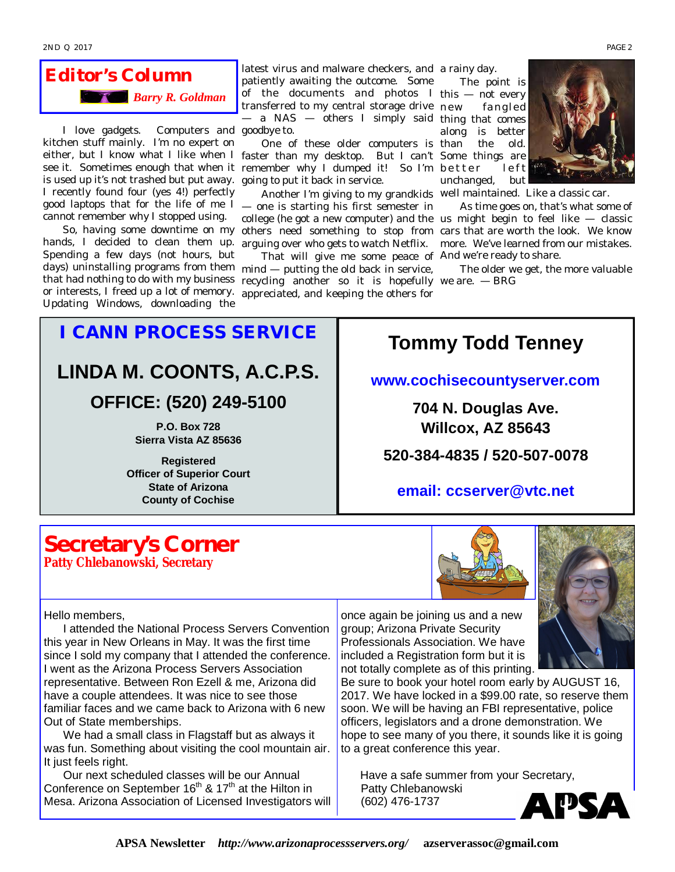## *Editor's Column Barry R. Goldman*

I love gadgets. Computers and goodbye to. kitchen stuff mainly. I'm no expert on is used up it's not trashed but put away. going to put it back in service. I recently found four (yes 4!) perfectly good laptops that for the life of me I — one is starting his first semester in cannot remember why I stopped using.

hands, I decided to clean them up. Spending a few days (not hours, but or interests, I freed up a lot of memory. Updating Windows, downloading the

latest virus and malware checkers, and a rainy day. patiently awaiting the outcome. Some of the documents and photos I this — not every transferred to my central storage drive — a NAS — others I simply said thing that comes

either, but I know what I like when I faster than my desktop. But I can't Some things are see it. Sometimes enough that when it remember why I dumped it! So I'm better left One of these older computers is than

So, having some downtime on my others need something to stop from cars that are worth the look. We know Another I'm giving to my grandkids well maintained. Like a classic car. arguing over who gets to watch Netflix.

days) uninstalling programs from them mind — putting the old back in service, that had nothing to do with my business recycling another so it is hopefully we are. — BRG That will give me some peace of And we're ready to share. appreciated, and keeping the others for

The point is fangled along is better the old. unchanged, but



college (he got a new computer) and the us might begin to feel like — classic As time goes on, that's what some of more. We've learned from our mistakes.

The older we get, the more valuable

# *I CANN PROCESS SERVICE* **LINDA M. COONTS, A.C.P.S.**

**OFFICE: (520) 249-5100** 

**P.O. Box 728 Sierra Vista AZ 85636**

**Registered Officer of Superior Court State of Arizona County of Cochise**

I attended the National Process Servers Convention

We had a small class in Flagstaff but as always it was fun. Something about visiting the cool mountain air.

Our next scheduled classes will be our Annual Conference on September  $16<sup>th</sup>$  &  $17<sup>th</sup>$  at the Hilton in Mesa. Arizona Association of Licensed Investigators will

this year in New Orleans in May. It was the first time since I sold my company that I attended the conference. I went as the Arizona Process Servers Association representative. Between Ron Ezell & me, Arizona did have a couple attendees. It was nice to see those familiar faces and we came back to Arizona with 6 new

# **Tommy Todd Tenney**

#### **[www.cochisecountyserver.com](http://www.cochisecountyserver.com)**

**704 N. Douglas Ave. Willcox, AZ 85643**

**520-384-4835 / 520-507-0078** 

#### **email: [ccserver@vtc.net](mailto:ccserver@vtc.net)**

### **Secretary's Corner Patty Chlebanowski, Secretary**

Out of State memberships.

Hello members,

It just feels right.



once again be joining us and a new group; Arizona Private Security Professionals Association. We have included a Registration form but it is not totally complete as of this printing.

Be sure to book your hotel room early by AUGUST 16, 2017. We have locked in a \$99.00 rate, so reserve them soon. We will be having an FBI representative, police officers, legislators and a drone demonstration. We hope to see many of you there, it sounds like it is going to a great conference this year.

Have a safe summer from your Secretary, Patty Chlebanowski (602) 476-1737

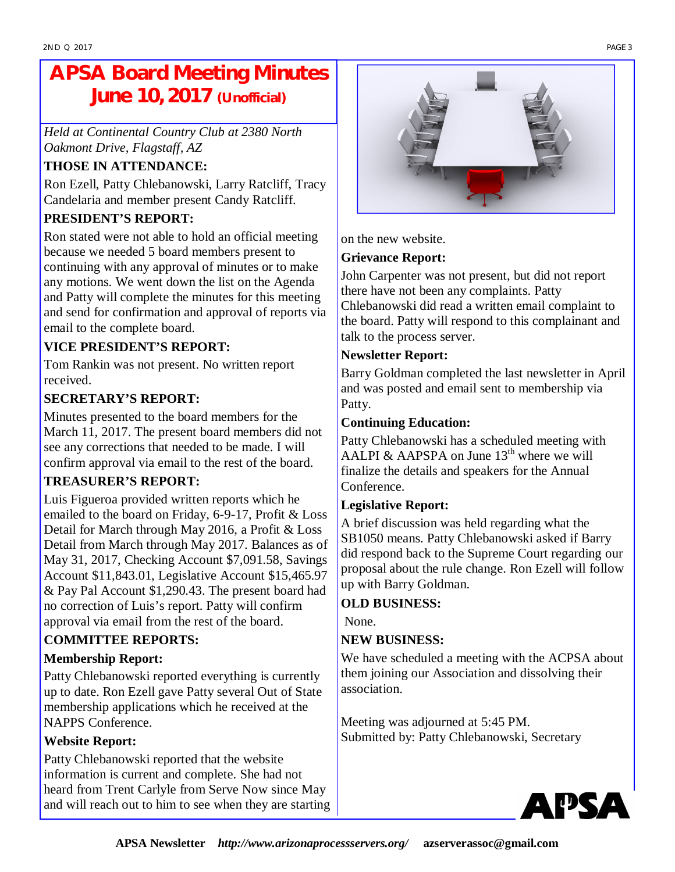# **APSA Board Meeting Minutes June 10, 2017 (Unofficial)**

*Held at Continental Country Club at 2380 North Oakmont Drive, Flagstaff, AZ* 

### **THOSE IN ATTENDANCE:**

Ron Ezell, Patty Chlebanowski, Larry Ratcliff, Tracy Candelaria and member present Candy Ratcliff.

### **PRESIDENT'S REPORT:**

Ron stated were not able to hold an official meeting because we needed 5 board members present to continuing with any approval of minutes or to make any motions. We went down the list on the Agenda and Patty will complete the minutes for this meeting and send for confirmation and approval of reports via email to the complete board.

#### **VICE PRESIDENT'S REPORT:**

Tom Rankin was not present. No written report received.

#### **SECRETARY'S REPORT:**

Minutes presented to the board members for the March 11, 2017. The present board members did not see any corrections that needed to be made. I will confirm approval via email to the rest of the board.

#### **TREASURER'S REPORT:**

Luis Figueroa provided written reports which he emailed to the board on Friday, 6-9-17, Profit & Loss Detail for March through May 2016, a Profit & Loss Detail from March through May 2017. Balances as of May 31, 2017, Checking Account \$7,091.58, Savings Account \$11,843.01, Legislative Account \$15,465.97 & Pay Pal Account \$1,290.43. The present board had no correction of Luis's report. Patty will confirm approval via email from the rest of the board.

#### **COMMITTEE REPORTS:**

#### **Membership Report:**

Patty Chlebanowski reported everything is currently up to date. Ron Ezell gave Patty several Out of State membership applications which he received at the NAPPS Conference.

#### **Website Report:**

Patty Chlebanowski reported that the website information is current and complete. She had not heard from Trent Carlyle from Serve Now since May and will reach out to him to see when they are starting



on the new website.

#### **Grievance Report:**

John Carpenter was not present, but did not report there have not been any complaints. Patty Chlebanowski did read a written email complaint to the board. Patty will respond to this complainant and talk to the process server.

#### **Newsletter Report:**

Barry Goldman completed the last newsletter in April and was posted and email sent to membership via Patty.

#### **Continuing Education:**

Patty Chlebanowski has a scheduled meeting with AALPI & AAPSPA on June  $13<sup>th</sup>$  where we will finalize the details and speakers for the Annual Conference.

#### **Legislative Report:**

A brief discussion was held regarding what the SB1050 means. Patty Chlebanowski asked if Barry did respond back to the Supreme Court regarding our proposal about the rule change. Ron Ezell will follow up with Barry Goldman.

#### **OLD BUSINESS:**

None.

#### **NEW BUSINESS:**

We have scheduled a meeting with the ACPSA about them joining our Association and dissolving their association.

Meeting was adjourned at 5:45 PM. Submitted by: Patty Chlebanowski, Secretary

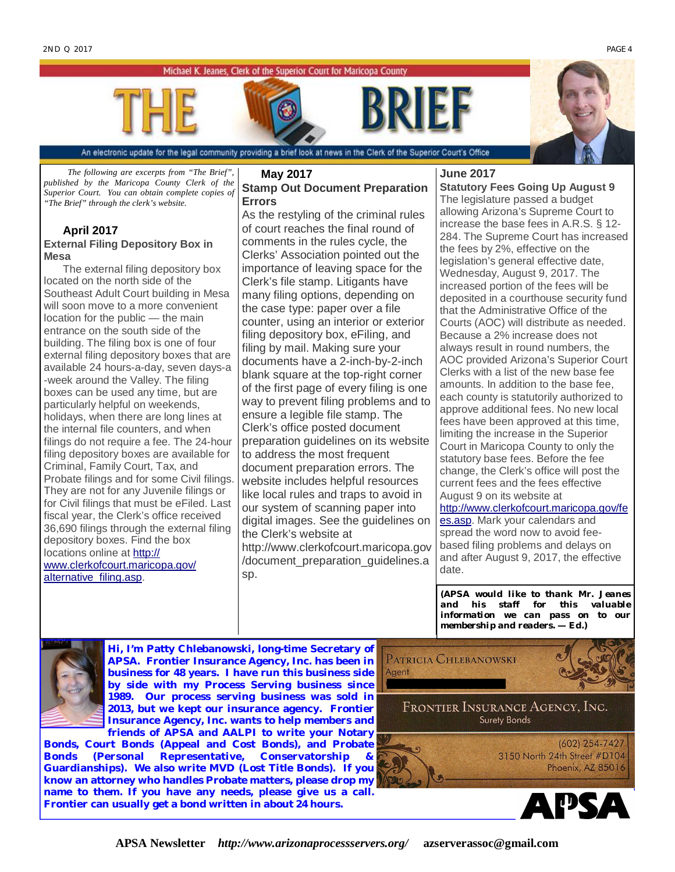Michael K. Jeanes, Clerk of the Superior Court for Maricopa County





An electronic update for the legal community providing a brief look at news in the Clerk of the Superior Court's Office

*The following are excerpts from "The Brief", published by the Maricopa County Clerk of the Superior Court. You can obtain complete copies of "The Brief" through the clerk's website.* 

#### **April 2017 External Filing Depository Box in Mesa**

The external filing depository box located on the north side of the Southeast Adult Court building in Mesa will soon move to a more convenient location for the public — the main entrance on the south side of the building. The filing box is one of four external filing depository boxes that are available 24 hours-a-day, seven days-a -week around the Valley. The filing boxes can be used any time, but are particularly helpful on weekends, holidays, when there are long lines at the internal file counters, and when filings do not require a fee. The 24-hour filing depository boxes are available for Criminal, Family Court, Tax, and Probate filings and for some Civil filings. They are not for any Juvenile filings or for Civil filings that must be eFiled. Last fiscal year, the Clerk's office received 36,690 filings through the external filing depository boxes. Find the box locations online at <http://> [www.clerkofcourt.maricopa.gov/](http://www.clerkofcourt.maricopa.gov/) alternative\_filing.asp.

#### **May 2017 Stamp Out Document Preparation Errors**

As the restyling of the criminal rules of court reaches the final round of comments in the rules cycle, the Clerks' Association pointed out the importance of leaving space for the Clerk's file stamp. Litigants have many filing options, depending on the case type: paper over a file counter, using an interior or exterior filing depository box, eFiling, and filing by mail. Making sure your documents have a 2-inch-by-2-inch blank square at the top-right corner of the first page of every filing is one way to prevent filing problems and to ensure a legible file stamp. The Clerk's office posted document preparation guidelines on its website to address the most frequent document preparation errors. The website includes helpful resources like local rules and traps to avoid in our system of scanning paper into digital images. See the guidelines on the Clerk's website at <http://www.clerkofcourt.maricopa.gov> /document\_preparation\_guidelines.a sp.

#### **June 2017**

**Statutory Fees Going Up August 9** The legislature passed a budget allowing Arizona's Supreme Court to increase the base fees in A.R.S. § 12- 284. The Supreme Court has increased the fees by 2%, effective on the legislation's general effective date, Wednesday, August 9, 2017. The increased portion of the fees will be deposited in a courthouse security fund that the Administrative Office of the Courts (AOC) will distribute as needed. Because a 2% increase does not always result in round numbers, the AOC provided Arizona's Superior Court Clerks with a list of the new base fee amounts. In addition to the base fee, each county is statutorily authorized to approve additional fees. No new local fees have been approved at this time, limiting the increase in the Superior Court in Maricopa County to only the statutory base fees. Before the fee change, the Clerk's office will post the current fees and the fees effective August 9 on its website at <http://www.clerkofcourt.maricopa.gov/fe> es.asp. Mark your calendars and

spread the word now to avoid feebased filing problems and delays on and after August 9, 2017, the effective date.

**(***APSA would like to thank Mr. Jeanes and his staff for this valuable information we can pass on to our membership and readers.* **—** *Ed.)*



**Hi, I'm Patty Chlebanowski, long-time Secretary of APSA. Frontier Insurance Agency, Inc. has been in business for 48 years. I have run this business side by side with my Process Serving business since 1989. Our process serving business was sold in 2013, but we kept our insurance agency. Frontier Insurance Agency, Inc. wants to help members and** 

**friends of APSA and AALPI to write your Notary Bonds, Court Bonds (Appeal and Cost Bonds), and Probate**  Bonds (Personal Representative, Conservatorship **Guardianships). We also write MVD (Lost Title Bonds). If you know an attorney who handles Probate matters, please drop my name to them. If you have any needs, please give us a call. Frontier can usually get a bond written in about 24 hours.** 



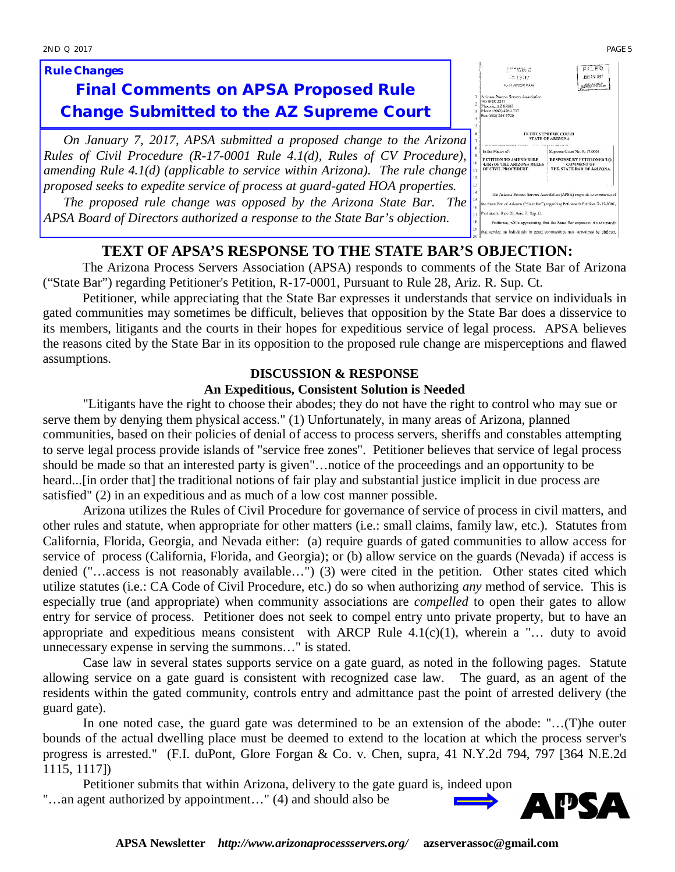#### *Rule Changes*

## **Final Comments on APSA Proposed Rule Change Submitted to the AZ Supreme Court**

*On January 7, 2017, APSA submitted a proposed change to the Arizona Rules of Civil Procedure (R-17-0001 Rule 4.1(d), Rules of CV Procedure), amending Rule 4.1(d) (applicable to service within Arizona). The rule change proposed seeks to expedite service of process at guard-gated HOA properties. The proposed rule change was opposed by the Arizona State Bar. The* 

*APSA Board of Directors authorized a response to the State Bar's objection.*

#### **TEXT OF APSA'S RESPONSE TO THE STATE BAR'S OBJECTION:**

The Arizona Process Servers Association (APSA) responds to comments of the State Bar of Arizona ("State Bar") regarding Petitioner's Petition, R-17-0001, Pursuant to Rule 28, Ariz. R. Sup. Ct.

Petitioner, while appreciating that the State Bar expresses it understands that service on individuals in gated communities may sometimes be difficult, believes that opposition by the State Bar does a disservice to its members, litigants and the courts in their hopes for expeditious service of legal process. APSA believes the reasons cited by the State Bar in its opposition to the proposed rule change are misperceptions and flawed assumptions.

#### **DISCUSSION & RESPONSE**

#### **An Expeditious, Consistent Solution is Needed**

"Litigants have the right to choose their abodes; they do not have the right to control who may sue or serve them by denying them physical access." (1) Unfortunately, in many areas of Arizona, planned communities, based on their policies of denial of access to process servers, sheriffs and constables attempting to serve legal process provide islands of "service free zones". Petitioner believes that service of legal process should be made so that an interested party is given"…notice of the proceedings and an opportunity to be heard...[in order that] the traditional notions of fair play and substantial justice implicit in due process are satisfied" (2) in an expeditious and as much of a low cost manner possible.

Arizona utilizes the Rules of Civil Procedure for governance of service of process in civil matters, and other rules and statute, when appropriate for other matters (i.e.: small claims, family law, etc.). Statutes from California, Florida, Georgia, and Nevada either: (a) require guards of gated communities to allow access for service of process (California, Florida, and Georgia); or (b) allow service on the guards (Nevada) if access is denied ("…access is not reasonably available…") (3) were cited in the petition. Other states cited which utilize statutes (i.e.: CA Code of Civil Procedure, etc.) do so when authorizing *any* method of service. This is especially true (and appropriate) when community associations are *compelled* to open their gates to allow entry for service of process. Petitioner does not seek to compel entry unto private property, but to have an appropriate and expeditious means consistent with ARCP Rule  $4.1(c)(1)$ , wherein a "... duty to avoid unnecessary expense in serving the summons…" is stated.

Case law in several states supports service on a gate guard, as noted in the following pages. Statute allowing service on a gate guard is consistent with recognized case law. The guard, as an agent of the residents within the gated community, controls entry and admittance past the point of arrested delivery (the guard gate).

In one noted case, the guard gate was determined to be an extension of the abode: "…(T)he outer bounds of the actual dwelling place must be deemed to extend to the location at which the process server's progress is arrested." (F.I. duPont, Glore Forgan & Co. v. Chen, supra, 41 N.Y.2d 794, 797 [364 N.E.2d 1115, 1117])

Petitioner submits that within Arizona, delivery to the gate guard is, indeed upon "…an agent authorized by appointment…" (4) and should also be



 $F1.60$ 

106 19 2017

|                      | mode superate exciter                                                              |                                                                        |  |  |  |  |
|----------------------|------------------------------------------------------------------------------------|------------------------------------------------------------------------|--|--|--|--|
| ٠                    | Arizons Process Servers Association                                                |                                                                        |  |  |  |  |
| $\overline{2}$       | PO BOX 2233                                                                        |                                                                        |  |  |  |  |
|                      | Phoenix, AZ \$5002<br>Phone: (602) 476-1737                                        |                                                                        |  |  |  |  |
| ٩                    | Fax:(602) 256-9729                                                                 |                                                                        |  |  |  |  |
| $\ddot{\phantom{1}}$ |                                                                                    |                                                                        |  |  |  |  |
| 5                    |                                                                                    |                                                                        |  |  |  |  |
| 6                    |                                                                                    | IN THE SUPREME COURT                                                   |  |  |  |  |
| 7                    | <b>STATE OF ARIZONA</b>                                                            |                                                                        |  |  |  |  |
|                      |                                                                                    |                                                                        |  |  |  |  |
| 8<br>9               | In the Matter of:                                                                  | Supreme Court No. R-17-0001                                            |  |  |  |  |
|                      | PETITION TO AMEND RULE                                                             | <b>RESPONSE BY PETITIONER TO</b>                                       |  |  |  |  |
| 10                   | 4.1(d) OF THE ARIZONA RULES.                                                       | <b>COMMENT OF</b>                                                      |  |  |  |  |
| 11                   | OF CIVIL PROCEDERE                                                                 | THE STATE BAR OF ARIZONA                                               |  |  |  |  |
| $\mathbf{1}$         |                                                                                    |                                                                        |  |  |  |  |
|                      |                                                                                    |                                                                        |  |  |  |  |
| 13                   |                                                                                    | r al                                                                   |  |  |  |  |
| 14                   |                                                                                    | The Arizona Process Servers Association (APSA) responds to comments of |  |  |  |  |
| 15                   |                                                                                    |                                                                        |  |  |  |  |
| 16                   | the State Bar of Arizona ("State Bar") regarding Petitioner's Petition, R-17-0004, |                                                                        |  |  |  |  |
| 17                   | Pursuant to Rule 28, Ariz. R. Sup. Ct.                                             |                                                                        |  |  |  |  |
| 18                   | Petitioner, while appreciating that the State Bar expresses it understands         |                                                                        |  |  |  |  |
| 19                   | that service on individuals in geted communities may sometimes be difficult.       |                                                                        |  |  |  |  |
| no.                  |                                                                                    |                                                                        |  |  |  |  |

(mmeas) The city say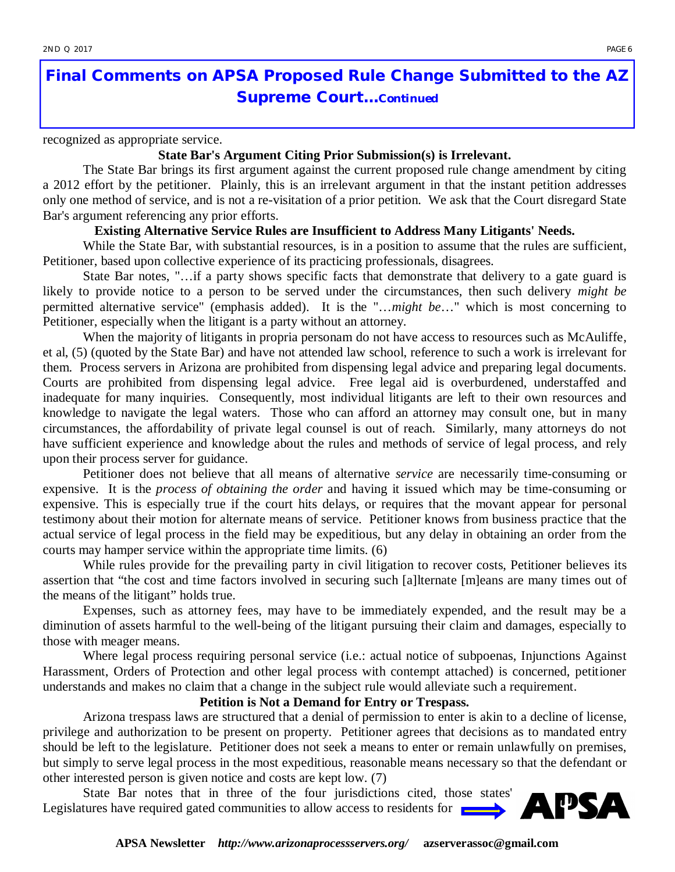## **Final Comments on APSA Proposed Rule Change Submitted to the AZ Supreme Court...***Continued*

recognized as appropriate service.

#### **State Bar's Argument Citing Prior Submission(s) is Irrelevant.**

The State Bar brings its first argument against the current proposed rule change amendment by citing a 2012 effort by the petitioner. Plainly, this is an irrelevant argument in that the instant petition addresses only one method of service, and is not a re-visitation of a prior petition. We ask that the Court disregard State Bar's argument referencing any prior efforts.

#### **Existing Alternative Service Rules are Insufficient to Address Many Litigants' Needs.**

While the State Bar, with substantial resources, is in a position to assume that the rules are sufficient, Petitioner, based upon collective experience of its practicing professionals, disagrees.

State Bar notes, "…if a party shows specific facts that demonstrate that delivery to a gate guard is likely to provide notice to a person to be served under the circumstances, then such delivery *might be*  permitted alternative service" (emphasis added). It is the "…*might be*…" which is most concerning to Petitioner, especially when the litigant is a party without an attorney.

When the majority of litigants in propria personam do not have access to resources such as McAuliffe, et al, (5) (quoted by the State Bar) and have not attended law school, reference to such a work is irrelevant for them. Process servers in Arizona are prohibited from dispensing legal advice and preparing legal documents. Courts are prohibited from dispensing legal advice. Free legal aid is overburdened, understaffed and inadequate for many inquiries. Consequently, most individual litigants are left to their own resources and knowledge to navigate the legal waters. Those who can afford an attorney may consult one, but in many circumstances, the affordability of private legal counsel is out of reach. Similarly, many attorneys do not have sufficient experience and knowledge about the rules and methods of service of legal process, and rely upon their process server for guidance.

Petitioner does not believe that all means of alternative *service* are necessarily time-consuming or expensive. It is the *process of obtaining the order* and having it issued which may be time-consuming or expensive. This is especially true if the court hits delays, or requires that the movant appear for personal testimony about their motion for alternate means of service. Petitioner knows from business practice that the actual service of legal process in the field may be expeditious, but any delay in obtaining an order from the courts may hamper service within the appropriate time limits. (6)

While rules provide for the prevailing party in civil litigation to recover costs, Petitioner believes its assertion that "the cost and time factors involved in securing such [a]lternate [m]eans are many times out of the means of the litigant" holds true.

Expenses, such as attorney fees, may have to be immediately expended, and the result may be a diminution of assets harmful to the well-being of the litigant pursuing their claim and damages, especially to those with meager means.

Where legal process requiring personal service (i.e.: actual notice of subpoenas, Injunctions Against Harassment, Orders of Protection and other legal process with contempt attached) is concerned, petitioner understands and makes no claim that a change in the subject rule would alleviate such a requirement.

#### **Petition is Not a Demand for Entry or Trespass.**

Arizona trespass laws are structured that a denial of permission to enter is akin to a decline of license, privilege and authorization to be present on property. Petitioner agrees that decisions as to mandated entry should be left to the legislature. Petitioner does not seek a means to enter or remain unlawfully on premises, but simply to serve legal process in the most expeditious, reasonable means necessary so that the defendant or other interested person is given notice and costs are kept low. (7)

State Bar notes that in three of the four jurisdictions cited, those states' Legislatures have required gated communities to allow access to residents for

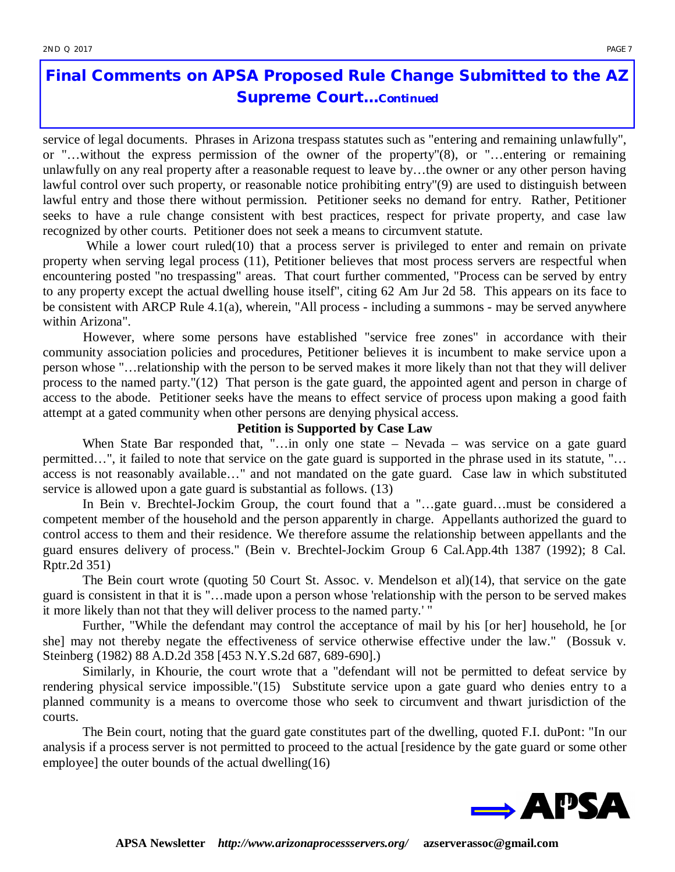## **Final Comments on APSA Proposed Rule Change Submitted to the AZ Supreme Court...***Continued*

service of legal documents. Phrases in Arizona trespass statutes such as "entering and remaining unlawfully", or "…without the express permission of the owner of the property"(8), or "…entering or remaining unlawfully on any real property after a reasonable request to leave by…the owner or any other person having lawful control over such property, or reasonable notice prohibiting entry"(9) are used to distinguish between lawful entry and those there without permission. Petitioner seeks no demand for entry. Rather, Petitioner seeks to have a rule change consistent with best practices, respect for private property, and case law recognized by other courts. Petitioner does not seek a means to circumvent statute.

While a lower court ruled(10) that a process server is privileged to enter and remain on private property when serving legal process (11), Petitioner believes that most process servers are respectful when encountering posted "no trespassing" areas. That court further commented, "Process can be served by entry to any property except the actual dwelling house itself", citing 62 Am Jur 2d 58. This appears on its face to be consistent with ARCP Rule 4.1(a), wherein, "All process - including a summons - may be served anywhere within Arizona".

However, where some persons have established "service free zones" in accordance with their community association policies and procedures, Petitioner believes it is incumbent to make service upon a person whose "…relationship with the person to be served makes it more likely than not that they will deliver process to the named party."(12) That person is the gate guard, the appointed agent and person in charge of access to the abode. Petitioner seeks have the means to effect service of process upon making a good faith attempt at a gated community when other persons are denying physical access.

#### **Petition is Supported by Case Law**

When State Bar responded that, "...in only one state – Nevada – was service on a gate guard permitted…", it failed to note that service on the gate guard is supported in the phrase used in its statute, "… access is not reasonably available…" and not mandated on the gate guard. Case law in which substituted service is allowed upon a gate guard is substantial as follows. (13)

In Bein v. Brechtel-Jockim Group, the court found that a "…gate guard…must be considered a competent member of the household and the person apparently in charge. Appellants authorized the guard to control access to them and their residence. We therefore assume the relationship between appellants and the guard ensures delivery of process." (Bein v. Brechtel-Jockim Group 6 Cal.App.4th 1387 (1992); 8 Cal. Rptr.2d 351)

The Bein court wrote (quoting 50 Court St. Assoc. v. Mendelson et al)(14), that service on the gate guard is consistent in that it is "…made upon a person whose 'relationship with the person to be served makes it more likely than not that they will deliver process to the named party.' "

Further, "While the defendant may control the acceptance of mail by his [or her] household, he [or she] may not thereby negate the effectiveness of service otherwise effective under the law." (Bossuk v. Steinberg (1982) 88 A.D.2d 358 [453 N.Y.S.2d 687, 689-690].)

Similarly, in Khourie, the court wrote that a "defendant will not be permitted to defeat service by rendering physical service impossible."(15) Substitute service upon a gate guard who denies entry to a planned community is a means to overcome those who seek to circumvent and thwart jurisdiction of the courts.

The Bein court, noting that the guard gate constitutes part of the dwelling, quoted F.I. duPont: "In our analysis if a process server is not permitted to proceed to the actual [residence by the gate guard or some other employee] the outer bounds of the actual dwelling(16)

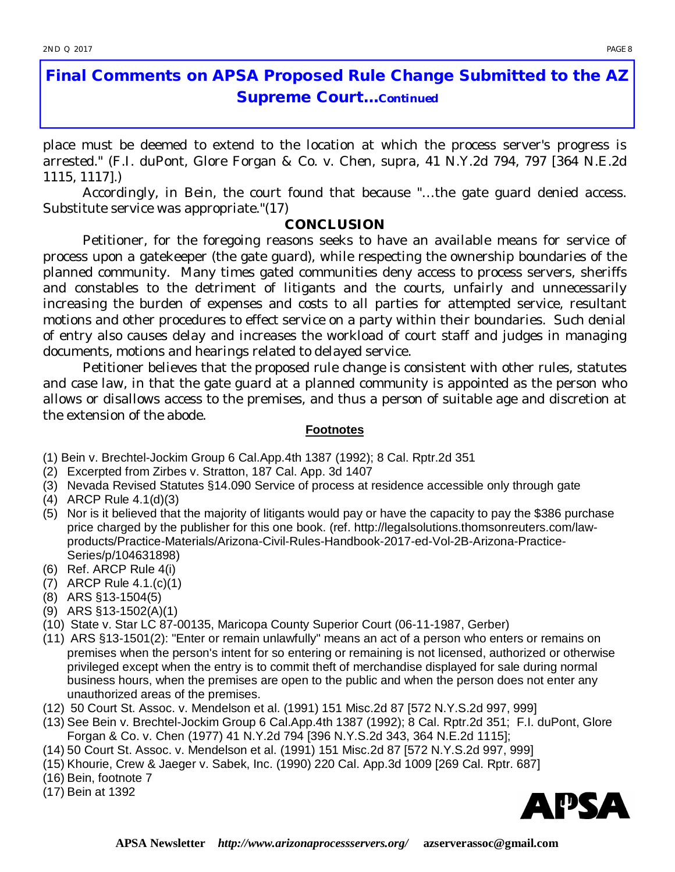## **Final Comments on APSA Proposed Rule Change Submitted to the AZ Supreme Court...***Continued*

place must be deemed to extend to the location at which the process server's progress is arrested." (F.I. duPont, Glore Forgan & Co. v. Chen, supra, 41 N.Y.2d 794, 797 [364 N.E.2d 1115, 1117].)

Accordingly, in Bein, the court found that because "…the gate guard denied access. Substitute service was appropriate."(17)

#### **CONCLUSION**

Petitioner, for the foregoing reasons seeks to have an available means for service of process upon a gatekeeper (the gate guard), while respecting the ownership boundaries of the planned community. Many times gated communities deny access to process servers, sheriffs and constables to the detriment of litigants and the courts, unfairly and unnecessarily increasing the burden of expenses and costs to all parties for attempted service, resultant motions and other procedures to effect service on a party within their boundaries. Such denial of entry also causes delay and increases the workload of court staff and judges in managing documents, motions and hearings related to delayed service.

Petitioner believes that the proposed rule change is consistent with other rules, statutes and case law, in that the gate guard at a planned community is appointed as the person who allows or disallows access to the premises, and thus a person of suitable age and discretion at the extension of the abode.

#### **Footnotes**

(1) Bein v. Brechtel-Jockim Group 6 Cal.App.4th 1387 (1992); 8 Cal. Rptr.2d 351

- (2) Excerpted from Zirbes v. Stratton, 187 Cal. App. 3d 1407
- (3) Nevada Revised Statutes §14.090 Service of process at residence accessible only through gate
- (4) ARCP Rule 4.1(d)(3)
- (5) Nor is it believed that the majority of litigants would pay or have the capacity to pay the \$386 purchase price charged by the publisher for this one book. (ref. [http://legalsolutions.thomsonreuters.com/law](http://legalsolutions.thomsonreuters.com/law-)products/Practice-Materials/Arizona-Civil-Rules-Handbook-2017-ed-Vol-2B-Arizona-Practice-Series/p/104631898)
- (6) Ref. ARCP Rule 4(i)
- (7) ARCP Rule 4.1.(c)(1)
- (8) ARS §13-1504(5)
- (9) ARS §13-1502(A)(1)
- (10) State v. Star LC 87-00135, Maricopa County Superior Court (06-11-1987, Gerber)
- (11) ARS §13-1501(2): "Enter or remain unlawfully" means an act of a person who enters or remains on premises when the person's intent for so entering or remaining is not licensed, authorized or otherwise privileged except when the entry is to commit theft of merchandise displayed for sale during normal business hours, when the premises are open to the public and when the person does not enter any unauthorized areas of the premises.
- (12) 50 Court St. Assoc. v. Mendelson et al. (1991) 151 Misc.2d 87 [572 N.Y.S.2d 997, 999]
- (13) See Bein v. Brechtel-Jockim Group 6 Cal.App.4th 1387 (1992); 8 Cal. Rptr.2d 351; F.I. duPont, Glore Forgan & Co. v. Chen (1977) 41 N.Y.2d 794 [396 N.Y.S.2d 343, 364 N.E.2d 1115];
- (14) 50 Court St. Assoc. v. Mendelson et al. (1991) 151 Misc.2d 87 [572 N.Y.S.2d 997, 999]
- (15) Khourie, Crew & Jaeger v. Sabek, Inc. (1990) 220 Cal. App.3d 1009 [269 Cal. Rptr. 687]
- (16) Bein, footnote 7
- (17) Bein at 1392

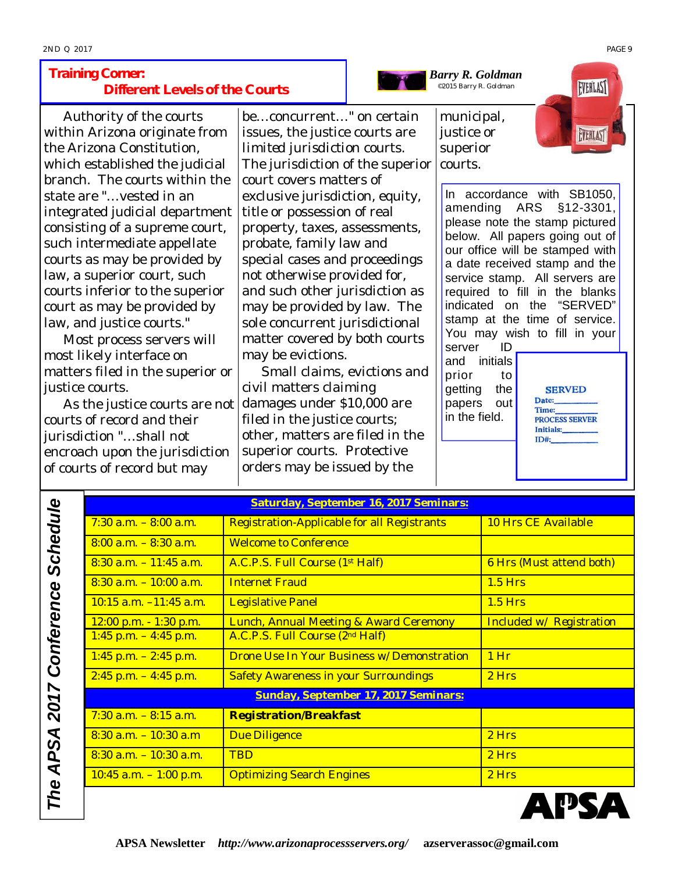#### *Training Corner***: Different Levels of the Courts**

Authority of the courts within Arizona originate from the Arizona Constitution, which established the judicial branch. The courts within the state are "…vested in an integrated judicial department consisting of a supreme court, such intermediate appellate courts as may be provided by law, a superior court, such courts inferior to the superior court as may be provided by law, and justice courts."

Most process servers will most likely interface on matters filed in the superior or justice courts.

As the justice courts are not courts of record and their jurisdiction "…shall not encroach upon the jurisdiction of courts of record but may

be…concurrent…" on certain issues, the justice courts are *limited jurisdiction* courts. The jurisdiction of the superior court covers matters of exclusive jurisdiction, equity, title or possession of real property, taxes, assessments, probate, family law and special cases and proceedings not otherwise provided for, and such other jurisdiction as may be provided by law. The sole concurrent jurisdictional matter covered by both courts may be evictions.

Small claims, evictions and civil matters claiming damages under \$10,000 are filed in the justice courts; other, matters are filed in the superior courts. Protective orders may be issued by the

municipal, justice or superior courts.

*Barry R. Goldman* ©2015 Barry R. Goldman



In accordance with SB1050, amending ARS  $§12 - 3301,$ please note the stamp pictured below. All papers going out of our office will be stamped with a date received stamp and the service stamp. All servers are required to fill in the blanks indicated on the "SERVED" stamp at the time of service. You may wish to fill in your server ID

and initials prior to getting the papers out in the field.

**SERVED** Date: Time: PROCESS SERVER Initials:  $ID#$ :

|                                      | Saturday, September 16, 2017 Seminars:       |                          |  |  |  |  |
|--------------------------------------|----------------------------------------------|--------------------------|--|--|--|--|
| $7:30$ a.m. $-8:00$ a.m.             | Registration-Applicable for all Registrants  | 10 Hrs CE Available      |  |  |  |  |
| $8:00$ a.m. $-8:30$ a.m.             | <b>Welcome to Conference</b>                 |                          |  |  |  |  |
| $8:30$ a.m. $-11:45$ a.m.            | A.C.P.S. Full Course (1st Half)              | 6 Hrs (Must attend both) |  |  |  |  |
| $8:30$ a.m. $-10:00$ a.m.            | <b>Internet Fraud</b>                        | $1.5$ Hrs                |  |  |  |  |
| <u>10:15 a.m. –11:45 a.m.</u>        | <b>Legislative Panel</b>                     | $1.5$ Hrs                |  |  |  |  |
| 12:00 p.m. - 1:30 p.m.               | Lunch, Annual Meeting & Award Ceremony       | Included w/ Registration |  |  |  |  |
| $1:45$ p.m. $-4:45$ p.m.             | A.C.P.S. Full Course (2nd Half)              |                          |  |  |  |  |
| $1:45$ p.m. $-2:45$ p.m.             | Drone Use In Your Business w/ Demonstration  | $1$ Hr                   |  |  |  |  |
| $2:45$ p.m. $-4:45$ p.m.             | <b>Safety Awareness in your Surroundings</b> | 2 Hrs                    |  |  |  |  |
| Sunday, September 17, 2017 Seminars: |                                              |                          |  |  |  |  |
| $7:30$ a.m. $-8:15$ a.m.             | <b>Registration/Breakfast</b>                |                          |  |  |  |  |
| $8:30$ a.m. $-10:30$ a.m             | Due Diligence                                | 2 Hrs                    |  |  |  |  |
| $8:30$ a.m. $-10:30$ a.m.            | <b>TBD</b>                                   | 2 Hrs                    |  |  |  |  |
| <u>10:45 a.m. – 1:00 p.m.</u>        | <b>Optimizing Search Engines</b>             | 2 Hrs                    |  |  |  |  |
|                                      |                                              |                          |  |  |  |  |

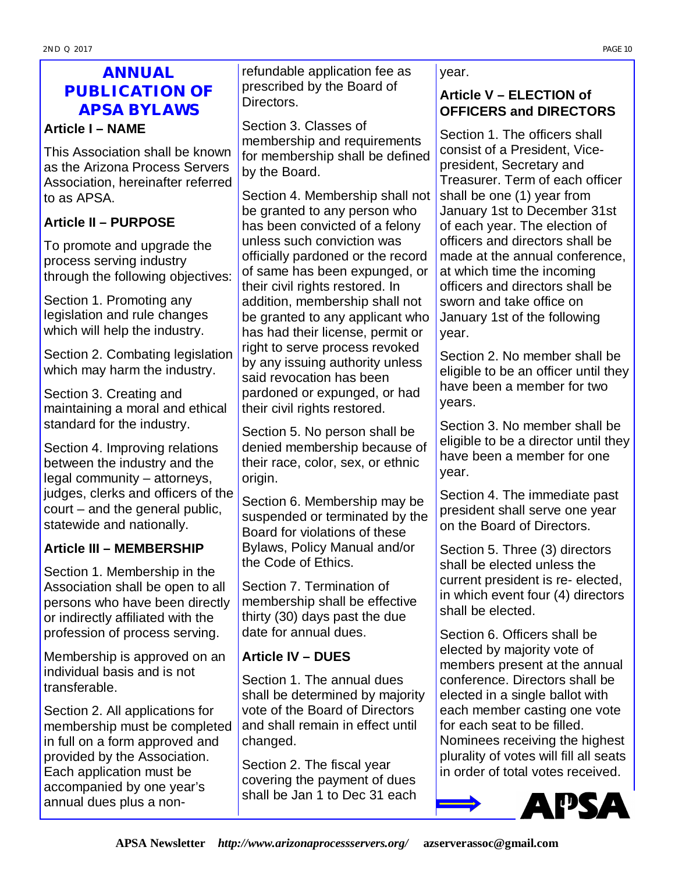## **ANNUAL PUBLICATION OF APSA BYLAWS**

#### **Article I – NAME**

This Association shall be known as the Arizona Process Servers Association, hereinafter referred to as APSA.

### **Article II – PURPOSE**

To promote and upgrade the process serving industry through the following objectives:

Section 1. Promoting any legislation and rule changes which will help the industry.

Section 2. Combating legislation which may harm the industry.

Section 3. Creating and maintaining a moral and ethical standard for the industry.

Section 4. Improving relations between the industry and the legal community – attorneys, judges, clerks and officers of the court – and the general public, statewide and nationally.

#### **Article III – MEMBERSHIP**

Section 1. Membership in the Association shall be open to all persons who have been directly or indirectly affiliated with the profession of process serving.

Membership is approved on an individual basis and is not transferable.

Section 2. All applications for membership must be completed in full on a form approved and provided by the Association. Each application must be accompanied by one year's annual dues plus a nonrefundable application fee as prescribed by the Board of Directors.

Section 3. Classes of membership and requirements for membership shall be defined by the Board.

Section 4. Membership shall not be granted to any person who has been convicted of a felony unless such conviction was officially pardoned or the record of same has been expunged, or their civil rights restored. In addition, membership shall not be granted to any applicant who has had their license, permit or right to serve process revoked by any issuing authority unless said revocation has been pardoned or expunged, or had their civil rights restored.

Section 5. No person shall be denied membership because of their race, color, sex, or ethnic origin.

Section 6. Membership may be suspended or terminated by the Board for violations of these Bylaws, Policy Manual and/or the Code of Ethics.

Section 7. Termination of membership shall be effective thirty (30) days past the due date for annual dues.

#### **Article IV – DUES**

Section 1. The annual dues shall be determined by majority vote of the Board of Directors and shall remain in effect until changed.

Section 2. The fiscal year covering the payment of dues shall be Jan 1 to Dec 31 each

#### year.

#### **Article V – ELECTION of OFFICERS and DIRECTORS**

Section 1. The officers shall consist of a President, Vicepresident, Secretary and Treasurer. Term of each officer shall be one (1) year from January 1st to December 31st of each year. The election of officers and directors shall be made at the annual conference, at which time the incoming officers and directors shall be sworn and take office on January 1st of the following year.

Section 2. No member shall be eligible to be an officer until they have been a member for two years.

Section 3. No member shall be eligible to be a director until they have been a member for one year.

Section 4. The immediate past president shall serve one year on the Board of Directors.

Section 5. Three (3) directors shall be elected unless the current president is re- elected, in which event four (4) directors shall be elected.

Section 6. Officers shall be elected by majority vote of members present at the annual conference. Directors shall be elected in a single ballot with each member casting one vote for each seat to be filled. Nominees receiving the highest plurality of votes will fill all seats in order of total votes received.

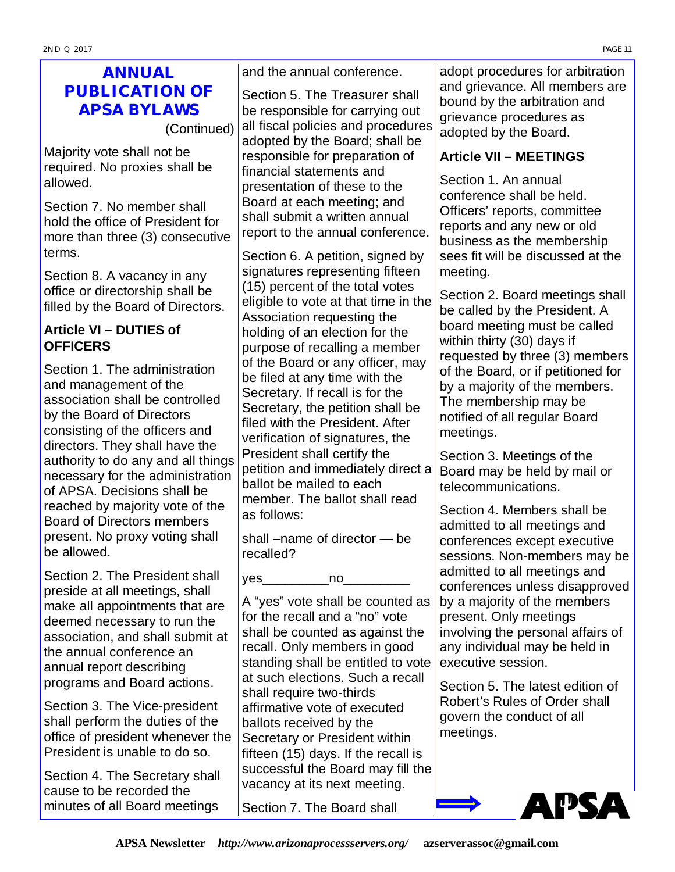## **ANNUAL PUBLICATION OF APSA BYLAWS**

(Continued)

Majority vote shall not be required. No proxies shall be allowed.

Section 7. No member shall hold the office of President for more than three (3) consecutive terms.

Section 8. A vacancy in any office or directorship shall be filled by the Board of Directors.

#### **Article VI – DUTIES of OFFICERS**

Section 1. The administration and management of the association shall be controlled by the Board of Directors consisting of the officers and directors. They shall have the authority to do any and all things necessary for the administration of APSA. Decisions shall be reached by majority vote of the Board of Directors members present. No proxy voting shall be allowed.

Section 2. The President shall preside at all meetings, shall make all appointments that are deemed necessary to run the association, and shall submit at the annual conference an annual report describing programs and Board actions.

Section 3. The Vice-president shall perform the duties of the office of president whenever the President is unable to do so.

Section 4. The Secretary shall cause to be recorded the minutes of all Board meetings and the annual conference.

Section 5. The Treasurer shall be responsible for carrying out all fiscal policies and procedures adopted by the Board; shall be responsible for preparation of financial statements and presentation of these to the Board at each meeting; and shall submit a written annual report to the annual conference.

Section 6. A petition, signed by signatures representing fifteen (15) percent of the total votes eligible to vote at that time in the Association requesting the holding of an election for the purpose of recalling a member of the Board or any officer, may be filed at any time with the Secretary. If recall is for the Secretary, the petition shall be filed with the President. After verification of signatures, the President shall certify the petition and immediately direct a ballot be mailed to each member. The ballot shall read as follows:

shall –name of director — be recalled?

yes\_\_\_\_\_\_\_\_\_no\_\_\_\_\_\_\_\_\_

A "yes" vote shall be counted as for the recall and a "no" vote shall be counted as against the recall. Only members in good standing shall be entitled to vote at such elections. Such a recall shall require two-thirds affirmative vote of executed ballots received by the Secretary or President within fifteen (15) days. If the recall is successful the Board may fill the vacancy at its next meeting.

Section 7. The Board shall

adopt procedures for arbitration and grievance. All members are bound by the arbitration and grievance procedures as adopted by the Board.

### **Article VII – MEETINGS**

Section 1. An annual conference shall be held. Officers' reports, committee reports and any new or old business as the membership sees fit will be discussed at the meeting.

Section 2. Board meetings shall be called by the President. A board meeting must be called within thirty (30) days if requested by three (3) members of the Board, or if petitioned for by a majority of the members. The membership may be notified of all regular Board meetings.

Section 3. Meetings of the Board may be held by mail or telecommunications.

Section 4. Members shall be admitted to all meetings and conferences except executive sessions. Non-members may be admitted to all meetings and conferences unless disapproved by a majority of the members present. Only meetings involving the personal affairs of any individual may be held in executive session.

Section 5. The latest edition of Robert's Rules of Order shall govern the conduct of all meetings.

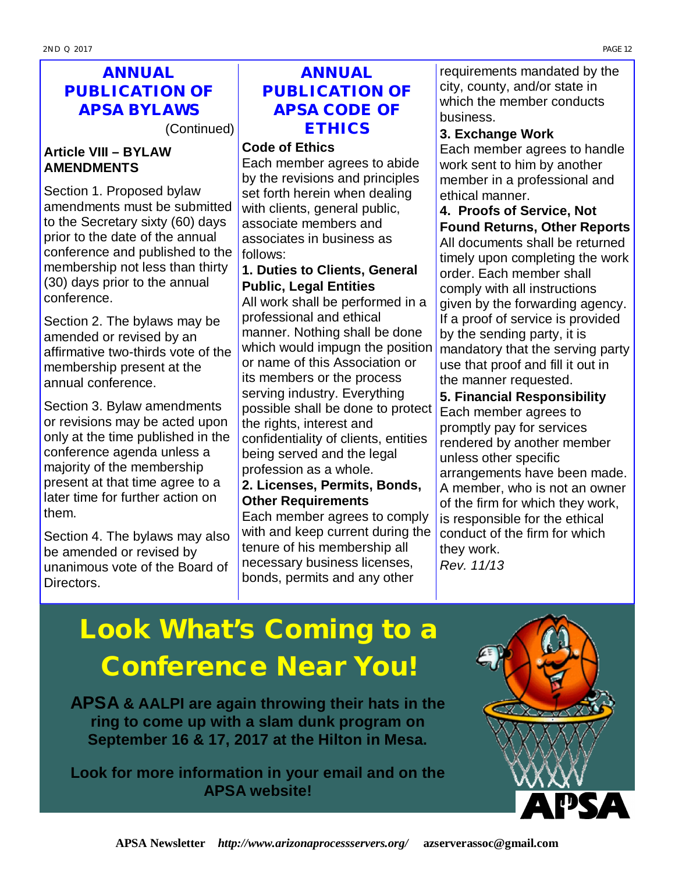## **ANNUAL PUBLICATION OF APSA BYLAWS**

(Continued)

#### **Article VIII – BYLAW AMENDMENTS**

Section 1. Proposed bylaw amendments must be submitted to the Secretary sixty (60) days prior to the date of the annual conference and published to the membership not less than thirty (30) days prior to the annual conference.

Section 2. The bylaws may be amended or revised by an affirmative two-thirds vote of the membership present at the annual conference.

Section 3. Bylaw amendments or revisions may be acted upon only at the time published in the conference agenda unless a majority of the membership present at that time agree to a later time for further action on them.

Section 4. The bylaws may also be amended or revised by unanimous vote of the Board of Directors.

## **ANNUAL PUBLICATION OF APSA CODE OF ETHICS**

#### **Code of Ethics**

Each member agrees to abide by the revisions and principles set forth herein when dealing with clients, general public, associate members and associates in business as follows:

#### **1. Duties to Clients, General Public, Legal Entities**

All work shall be performed in a professional and ethical manner. Nothing shall be done which would impugn the position or name of this Association or its members or the process serving industry. Everything possible shall be done to protect the rights, interest and confidentiality of clients, entities being served and the legal profession as a whole.

#### **2. Licenses, Permits, Bonds, Other Requirements**

Each member agrees to comply with and keep current during the tenure of his membership all necessary business licenses, bonds, permits and any other

requirements mandated by the city, county, and/or state in which the member conducts business.

#### **3. Exchange Work**

Each member agrees to handle work sent to him by another member in a professional and ethical manner.

**4. Proofs of Service, Not Found Returns, Other Reports** All documents shall be returned timely upon completing the work order. Each member shall comply with all instructions given by the forwarding agency. If a proof of service is provided by the sending party, it is mandatory that the serving party use that proof and fill it out in the manner requested.

#### **5. Financial Responsibility**

Each member agrees to promptly pay for services rendered by another member unless other specific arrangements have been made. A member, who is not an owner of the firm for which they work, is responsible for the ethical conduct of the firm for which they work.

*Rev. 11/13*

# *Look What's Coming to a Conference Near You!*

**APSA & AALPI are again throwing their hats in the ring to come up with a slam dunk program on September 16 & 17, 2017 at the Hilton in Mesa.**

**Look for more information in your email and on the APSA website!**

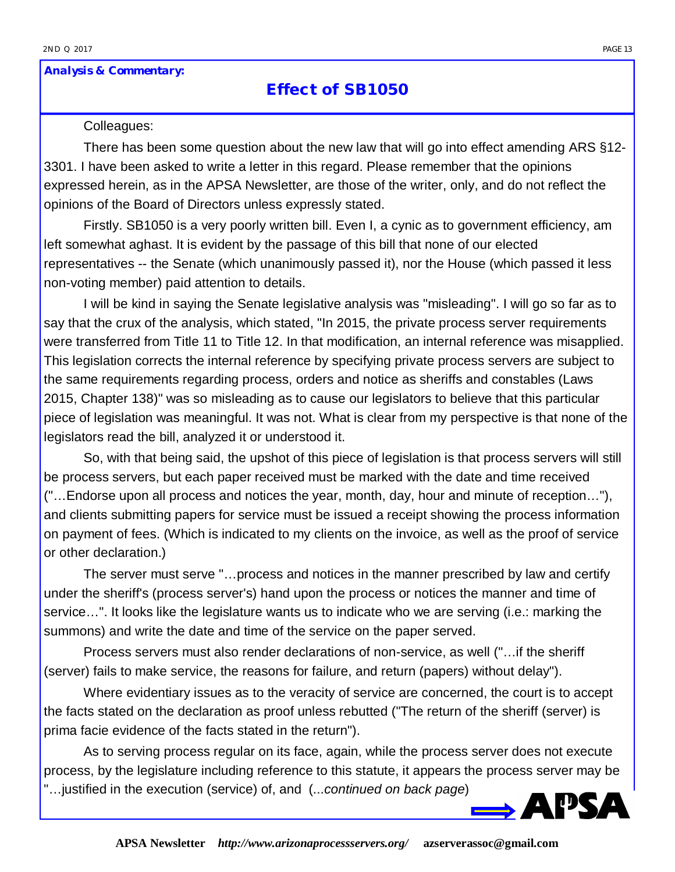#### *Analysis & Commentary:*

### **Effect of SB1050**

#### Colleagues:

There has been some question about the new law that will go into effect amending ARS §12- 3301. I have been asked to write a letter in this regard. Please remember that the opinions expressed herein, as in the APSA Newsletter, are those of the writer, only, and do not reflect the opinions of the Board of Directors unless expressly stated.

Firstly. SB1050 is a very poorly written bill. Even I, a cynic as to government efficiency, am left somewhat aghast. It is evident by the passage of this bill that none of our elected representatives -- the Senate (which unanimously passed it), nor the House (which passed it less non-voting member) paid attention to details.

I will be kind in saying the Senate legislative analysis was "misleading". I will go so far as to say that the crux of the analysis, which stated, "In 2015, the private process server requirements were transferred from Title 11 to Title 12. In that modification, an internal reference was misapplied. This legislation corrects the internal reference by specifying private process servers are subject to the same requirements regarding process, orders and notice as sheriffs and constables (Laws 2015, Chapter 138)" was so misleading as to cause our legislators to believe that this particular piece of legislation was meaningful. It was not. What is clear from my perspective is that none of the legislators read the bill, analyzed it or understood it.

So, with that being said, the upshot of this piece of legislation is that process servers will still be process servers, but each paper received must be marked with the date and time received ("…Endorse upon all process and notices the year, month, day, hour and minute of reception…"), and clients submitting papers for service must be issued a receipt showing the process information on payment of fees. (Which is indicated to my clients on the invoice, as well as the proof of service or other declaration.)

The server must serve "…process and notices in the manner prescribed by law and certify under the sheriff's (process server's) hand upon the process or notices the manner and time of service…". It looks like the legislature wants us to indicate who we are serving (i.e.: marking the summons) and write the date and time of the service on the paper served.

Process servers must also render declarations of non-service, as well ("…if the sheriff (server) fails to make service, the reasons for failure, and return (papers) without delay").

Where evidentiary issues as to the veracity of service are concerned, the court is to accept the facts stated on the declaration as proof unless rebutted ("The return of the sheriff (server) is prima facie evidence of the facts stated in the return").

As to serving process regular on its face, again, while the process server does not execute process, by the legislature including reference to this statute, it appears the process server may be "…justified in the execution (service) of, and (...*continued on back page*)



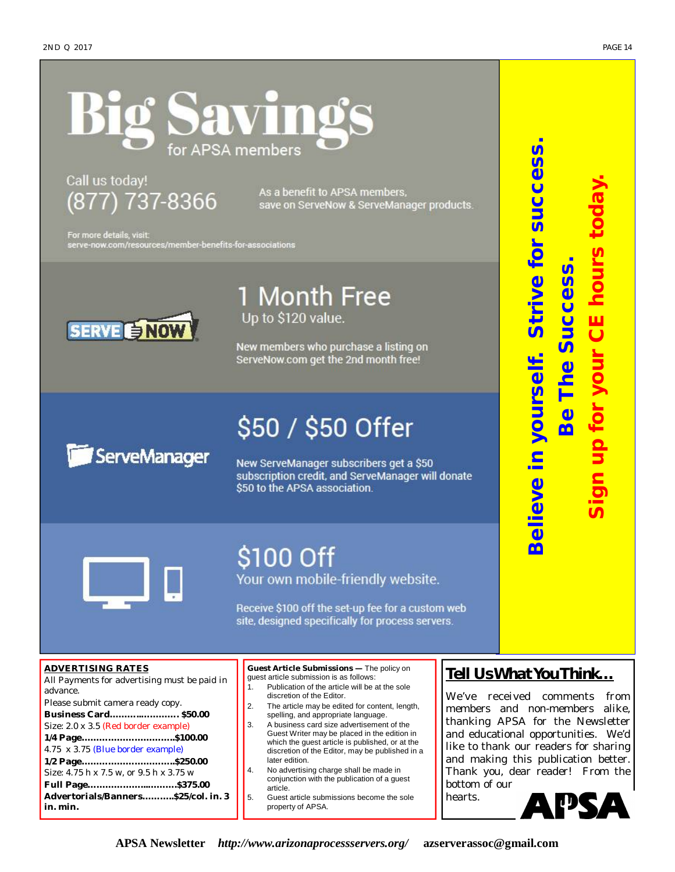# SAVI APSA members

Call us today! (877) 737-8366

As a benefit to APSA members, save on ServeNow & ServeManager products.

For more details, visit: serve-now.com/resources/member-benefits-for-associations



1 Month Free Up to \$120 value.

New members who purchase a listing on ServeNow.com get the 2nd month free!

# \$50 / \$50 Offer ServeManager

New ServeManager subscribers get a \$50 subscription credit, and ServeManager will donate \$50 to the APSA association.



# \$100 Off

Your own mobile-friendly website.

Receive \$100 off the set-up fee for a custom web site, designed specifically for process servers.

#### **ADVERTISING RATES**

All Payments for advertising must be paid in advance.

Please submit camera ready copy. **Business Card………..…………. \$50.00** Size: 2.0 x 3.5 (Red border example) **1/4 Page…………………………..\$100.00**  4.75 x 3.75 (Blue border example) **1/2 Page…………………………..\$250.00**  Size: 4.75 h x 7.5 w, or 9.5 h x 3.75 w **Full Page………………...……….\$375.00 Advertorials/Banners………..\$25/col. in. 3 in. min.**

**Guest Article Submissions —** The policy on guest article submission is as follows:

- 1. Publication of the article will be at the sole discretion of the Editor.
- 2. The article may be edited for content, length, spelling, and appropriate language.
- 3. A business card size advertisement of the Guest Writer may be placed in the edition in which the guest article is published, or at the discretion of the Editor, may be published in a later edition.
- 4. No advertising charge shall be made in conjunction with the publication of a guest article.
- 5. Guest article submissions become the sole property of APSA.

#### *Tell Us What You Think…*

**Believe in yourself. Strive for success.**

Believe in yourself. Strive for success

*Be The Success***.** 

Be The Success

**Sign up for your CE hours today.** 

In up for your CE hours tod

We've received comments from members and non-members alike, thanking APSA for the Newsletter and educational opportunities. We'd like to thank our readers for sharing and making this publication better. Thank you, dear reader! From the bottom of our

hearts.

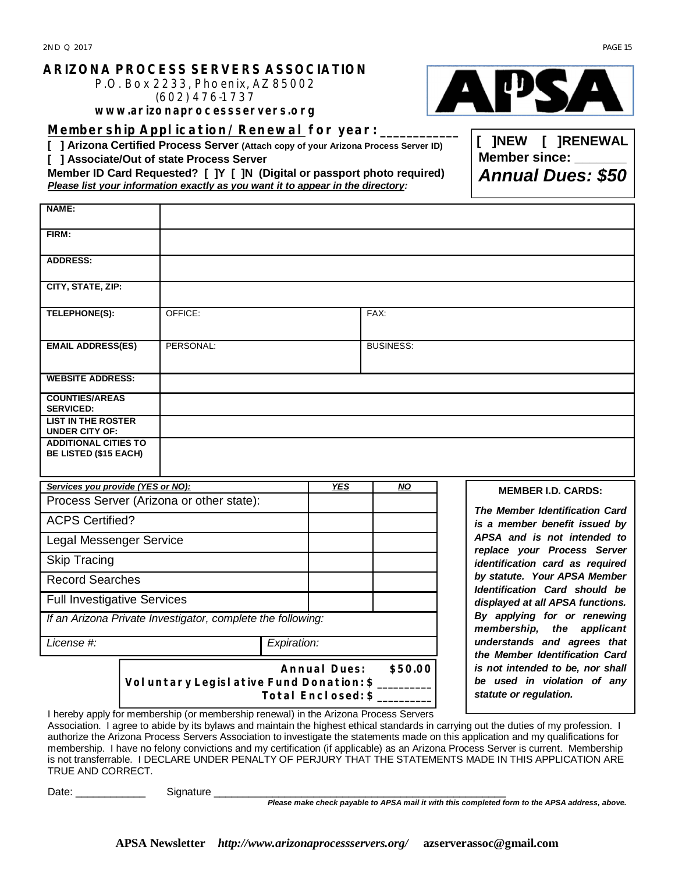#### **ARIZONA PROCESS SERVERS ASSOCIATION**

P.O. Box 2233, Phoenix, AZ 85002 (602) 476-1737

**[www.arizonaprocessservers.org](http://www.arizonaprocessservers.org)**

**Membership Application/Renewal for year: \_\_\_\_\_\_\_\_\_\_\_\_**

**[ ] Arizona Certified Process Server (Attach copy of your Arizona Process Server ID)** 

**[ ] Associate/Out of state Process Server**

**Member ID Card Requested? [ ]Y [ ]N (Digital or passport photo required)**  *Please list your information exactly as you want it to appear in the directory:*

| <b>NAME:</b>                                                |           |                                                             |    |                                                               |                                                               |                                                                                           |
|-------------------------------------------------------------|-----------|-------------------------------------------------------------|----|---------------------------------------------------------------|---------------------------------------------------------------|-------------------------------------------------------------------------------------------|
| FIRM:                                                       |           |                                                             |    |                                                               |                                                               |                                                                                           |
| <b>ADDRESS:</b>                                             |           |                                                             |    |                                                               |                                                               |                                                                                           |
| CITY, STATE, ZIP:                                           |           |                                                             |    |                                                               |                                                               |                                                                                           |
| TELEPHONE(S):                                               |           | OFFICE:                                                     |    |                                                               | FAX:                                                          |                                                                                           |
| <b>EMAIL ADDRESS(ES)</b>                                    | PERSONAL: |                                                             |    | <b>BUSINESS:</b>                                              |                                                               |                                                                                           |
| <b>WEBSITE ADDRESS:</b>                                     |           |                                                             |    |                                                               |                                                               |                                                                                           |
| <b>COUNTIES/AREAS</b><br><b>SERVICED:</b>                   |           |                                                             |    |                                                               |                                                               |                                                                                           |
| <b>LIST IN THE ROSTER</b><br><b>UNDER CITY OF:</b>          |           |                                                             |    |                                                               |                                                               |                                                                                           |
| <b>ADDITIONAL CITIES TO</b><br><b>BE LISTED (\$15 EACH)</b> |           |                                                             |    |                                                               |                                                               |                                                                                           |
| Services you provide (YES or NO):                           |           | <b>YES</b>                                                  | NO | <b>MEMBER I.D. CARDS:</b>                                     |                                                               |                                                                                           |
| Process Server (Arizona or other state):                    |           |                                                             |    | <b>The Member Identification Card</b>                         |                                                               |                                                                                           |
| <b>ACPS Certified?</b>                                      |           |                                                             |    |                                                               |                                                               | is a member benefit issued by                                                             |
| Legal Messenger Service                                     |           |                                                             |    |                                                               |                                                               | APSA and is not intended to<br>replace your Process Server                                |
| <b>Skip Tracing</b>                                         |           |                                                             |    |                                                               |                                                               | identification card as required                                                           |
| <b>Record Searches</b>                                      |           |                                                             |    | by statute. Your APSA Member<br>Identification Card should be |                                                               |                                                                                           |
| <b>Full Investigative Services</b>                          |           |                                                             |    | displayed at all APSA functions.                              |                                                               |                                                                                           |
|                                                             |           | If an Arizona Private Investigator, complete the following: |    |                                                               |                                                               | By applying for or renewing<br>membership, the applicant                                  |
| License #:<br>Expiration:                                   |           |                                                             |    |                                                               | understands and agrees that<br>the Member Identification Card |                                                                                           |
|                                                             |           | Voluntary Legislative Fund Donation: \$                     |    | Annual Dues:<br>Total Enclosed: \$                            | \$50.00                                                       | is not intended to be, nor shall<br>be used in violation of any<br>statute or regulation. |

I hereby apply for membership (or membership renewal) in the Arizona Process Servers Association. I agree to abide by its bylaws and maintain the highest ethical standards in carrying out the duties of my profession. I

authorize the Arizona Process Servers Association to investigate the statements made on this application and my qualifications for membership. I have no felony convictions and my certification (if applicable) as an Arizona Process Server is current. Membership is not transferrable. I DECLARE UNDER PENALTY OF PERJURY THAT THE STATEMENTS MADE IN THIS APPLICATION ARE TRUE AND CORRECT.

Date: \_\_\_\_\_\_\_\_\_\_\_\_ Signature \_\_\_\_\_\_\_\_\_\_\_\_\_\_\_\_\_\_\_\_\_\_\_\_\_\_\_\_\_\_\_\_\_\_\_\_\_\_\_\_\_\_\_\_\_\_\_\_\_\_

*Please make check payable to APSA mail it with this completed form to the APSA address, above.*

**[ ]NEW [ ]RENEWAL Member since:** 

*Annual Dues: \$50*

**APSA Newsletter** *<http://www.arizonaprocessservers.org/>***[azserverassoc@gmail.com](mailto:azserverassoc@gmail.com)**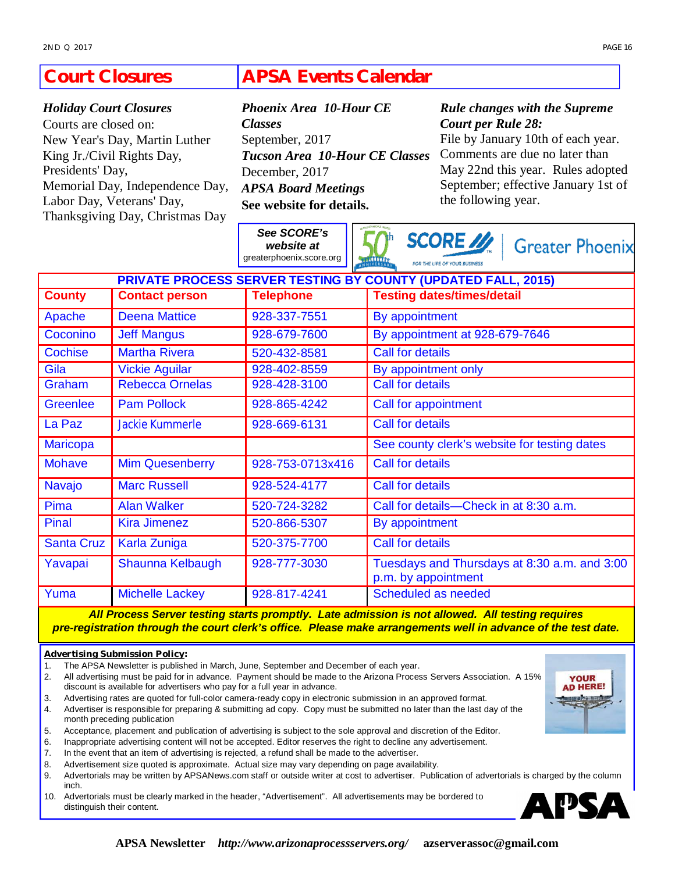#### **APSA Events Calendar Court Closures**

#### *Holiday Court Closures*

Courts are closed on: New Year's Day, Martin Luther King Jr./Civil Rights Day, Presidents' Day, Memorial Day, Independence Day, Labor Day, Veterans' Day, Thanksgiving Day, Christmas Day

*Classes* September, 2017 *Tucson Area 10-Hour CE Classes* December, 2017 *APSA Board Meetings* **See website for details.** 

*Phoenix Area 10-Hour CE* 

*See SCORE's website at* 

#### *Rule changes with the Supreme Court per Rule 28:*

File by January 10th of each year. Comments are due no later than May 22nd this year. Rules adopted September; effective January 1st of the following year.

|                                                                      |                        | See SCORE's<br>website at<br>greaterphoenix.score.org | <b>SCORE</b> //<br><b>Greater Phoenix</b><br><b>TABLISTS</b><br>FOR THE LIFE OF YOUR BUSINESS |  |  |  |  |  |
|----------------------------------------------------------------------|------------------------|-------------------------------------------------------|-----------------------------------------------------------------------------------------------|--|--|--|--|--|
| <b>PRIVATE PROCESS SERVER TESTING BY COUNTY (UPDATED FALL, 2015)</b> |                        |                                                       |                                                                                               |  |  |  |  |  |
| <b>County</b>                                                        | <b>Contact person</b>  | <b>Telephone</b>                                      | <b>Testing dates/times/detail</b>                                                             |  |  |  |  |  |
| Apache                                                               | <b>Deena Mattice</b>   | 928-337-7551                                          | By appointment                                                                                |  |  |  |  |  |
| Coconino                                                             | <b>Jeff Mangus</b>     | 928-679-7600                                          | By appointment at 928-679-7646                                                                |  |  |  |  |  |
| Cochise                                                              | <b>Martha Rivera</b>   | 520-432-8581                                          | <b>Call for details</b>                                                                       |  |  |  |  |  |
| Gila                                                                 | <b>Vickie Aguilar</b>  | 928-402-8559                                          | By appointment only                                                                           |  |  |  |  |  |
| Graham                                                               | <b>Rebecca Ornelas</b> | 928-428-3100                                          | <b>Call for details</b>                                                                       |  |  |  |  |  |
| <b>Greenlee</b>                                                      | <b>Pam Pollock</b>     | 928-865-4242                                          | Call for appointment                                                                          |  |  |  |  |  |
| La Paz                                                               | <b>Jackie Kummerle</b> | 928-669-6131                                          | <b>Call for details</b>                                                                       |  |  |  |  |  |
| <b>Maricopa</b>                                                      |                        |                                                       | See county clerk's website for testing dates                                                  |  |  |  |  |  |
| <b>Mohave</b>                                                        | <b>Mim Quesenberry</b> | 928-753-0713x416                                      | <b>Call for details</b>                                                                       |  |  |  |  |  |
| Navajo                                                               | <b>Marc Russell</b>    | 928-524-4177                                          | <b>Call for details</b>                                                                       |  |  |  |  |  |
| Pima                                                                 | <b>Alan Walker</b>     | 520-724-3282                                          | Call for details-Check in at 8:30 a.m.                                                        |  |  |  |  |  |
| Pinal                                                                | <b>Kira Jimenez</b>    | 520-866-5307                                          | By appointment                                                                                |  |  |  |  |  |
| <b>Santa Cruz</b>                                                    | Karla Zuniga           | 520-375-7700                                          | <b>Call for details</b>                                                                       |  |  |  |  |  |
| Yavapai                                                              | Shaunna Kelbaugh       | 928-777-3030                                          | Tuesdays and Thursdays at 8:30 a.m. and 3:00<br>p.m. by appointment                           |  |  |  |  |  |
| Yuma                                                                 | <b>Michelle Lackey</b> | 928-817-4241                                          | Scheduled as needed                                                                           |  |  |  |  |  |

*All Process Server testing starts promptly. Late admission is not allowed. All testing requires pre-registration through the court clerk's office. Please make arrangements well in advance of the test date.*

#### **Advertising Submission Policy:**

- 1. The APSA Newsletter is published in March, June, September and December of each year.
- 2. All advertising must be paid for in advance. Payment should be made to the Arizona Process Servers Association. A 15% discount is available for advertisers who pay for a full year in advance.
- 3. Advertising rates are quoted for full-color camera-ready copy in electronic submission in an approved format.
- 4. Advertiser is responsible for preparing & submitting ad copy. Copy must be submitted no later than the last day of the month preceding publication
- 5. Acceptance, placement and publication of advertising is subject to the sole approval and discretion of the Editor.
- 6. Inappropriate advertising content will not be accepted. Editor reserves the right to decline any advertisement.
- 7. In the event that an item of advertising is rejected, a refund shall be made to the advertiser.
- 8. Advertisement size quoted is approximate. Actual size may vary depending on page availability.
- 9. Advertorials may be written by APSANews.com staff or outside writer at cost to advertiser. Publication of advertorials is charged by the column inch.
- 10. Advertorials must be clearly marked in the header, "Advertisement". All advertisements may be bordered to distinguish their content.